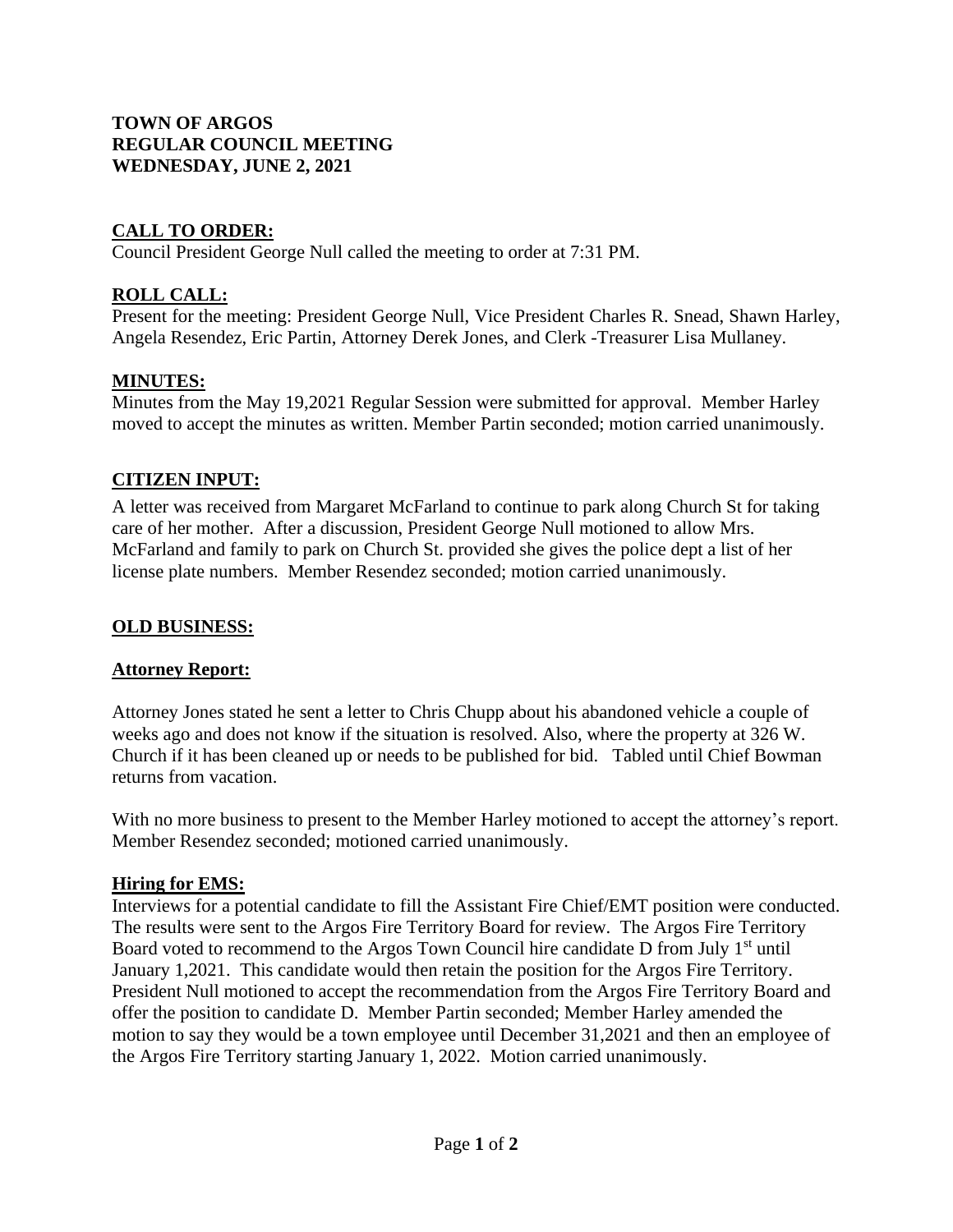## **TOWN OF ARGOS REGULAR COUNCIL MEETING WEDNESDAY, JUNE 2, 2021**

## **CALL TO ORDER:**

Council President George Null called the meeting to order at 7:31 PM.

# **ROLL CALL:**

Present for the meeting: President George Null, Vice President Charles R. Snead, Shawn Harley, Angela Resendez, Eric Partin, Attorney Derek Jones, and Clerk -Treasurer Lisa Mullaney.

### **MINUTES:**

Minutes from the May 19,2021 Regular Session were submitted for approval. Member Harley moved to accept the minutes as written. Member Partin seconded; motion carried unanimously.

## **CITIZEN INPUT:**

A letter was received from Margaret McFarland to continue to park along Church St for taking care of her mother. After a discussion, President George Null motioned to allow Mrs. McFarland and family to park on Church St. provided she gives the police dept a list of her license plate numbers. Member Resendez seconded; motion carried unanimously.

### **OLD BUSINESS:**

### **Attorney Report:**

Attorney Jones stated he sent a letter to Chris Chupp about his abandoned vehicle a couple of weeks ago and does not know if the situation is resolved. Also, where the property at 326 W. Church if it has been cleaned up or needs to be published for bid. Tabled until Chief Bowman returns from vacation.

With no more business to present to the Member Harley motioned to accept the attorney's report. Member Resendez seconded; motioned carried unanimously.

### **Hiring for EMS:**

Interviews for a potential candidate to fill the Assistant Fire Chief/EMT position were conducted. The results were sent to the Argos Fire Territory Board for review. The Argos Fire Territory Board voted to recommend to the Argos Town Council hire candidate D from July 1<sup>st</sup> until January 1,2021. This candidate would then retain the position for the Argos Fire Territory. President Null motioned to accept the recommendation from the Argos Fire Territory Board and offer the position to candidate D. Member Partin seconded; Member Harley amended the motion to say they would be a town employee until December 31,2021 and then an employee of the Argos Fire Territory starting January 1, 2022. Motion carried unanimously.